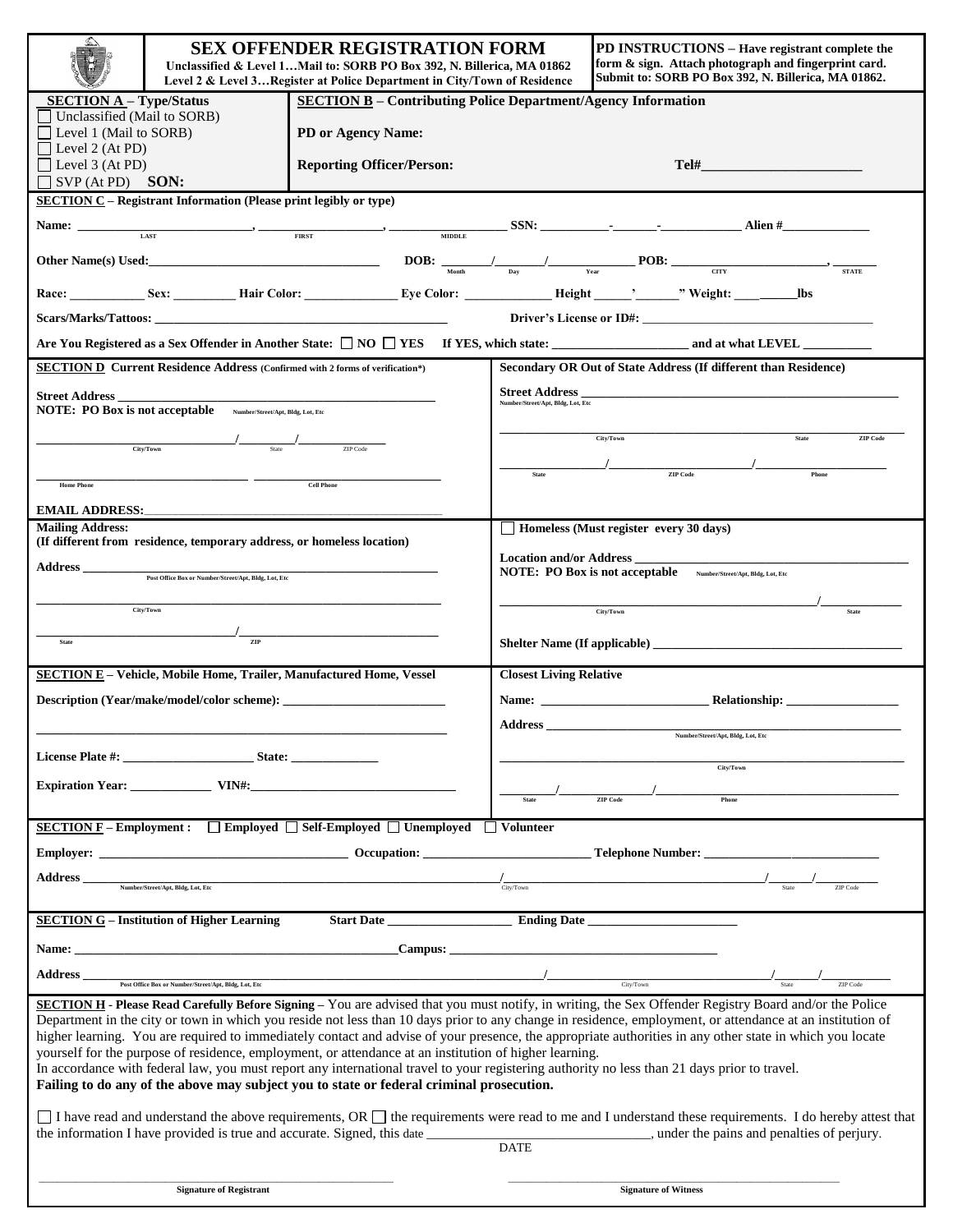| ≤                                                                                                                                                                                                                                                                                                                                                                                                                                                                     | <b>SEX OFFENDER REGISTRATION FORM</b><br>Unclassified & Level 1Mail to: SORB PO Box 392, N. Billerica, MA 01862<br>Level 2 & Level 3Register at Police Department in City/Town of Residence |                                  |                                                                  | <b>PD INSTRUCTIONS – Have registrant complete the</b><br>form & sign. Attach photograph and fingerprint card.<br>Submit to: SORB PO Box 392, N. Billerica, MA 01862. |  |
|-----------------------------------------------------------------------------------------------------------------------------------------------------------------------------------------------------------------------------------------------------------------------------------------------------------------------------------------------------------------------------------------------------------------------------------------------------------------------|---------------------------------------------------------------------------------------------------------------------------------------------------------------------------------------------|----------------------------------|------------------------------------------------------------------|----------------------------------------------------------------------------------------------------------------------------------------------------------------------|--|
| <b>SECTION B</b> - Contributing Police Department/Agency Information<br><b>SECTION A-Type/Status</b>                                                                                                                                                                                                                                                                                                                                                                  |                                                                                                                                                                                             |                                  |                                                                  |                                                                                                                                                                      |  |
| Unclassified (Mail to SORB)<br>$\Box$ Level 1 (Mail to SORB)                                                                                                                                                                                                                                                                                                                                                                                                          |                                                                                                                                                                                             | PD or Agency Name:               |                                                                  |                                                                                                                                                                      |  |
| $\Box$ Level 2 (At PD)                                                                                                                                                                                                                                                                                                                                                                                                                                                |                                                                                                                                                                                             |                                  |                                                                  |                                                                                                                                                                      |  |
| $\Box$ Level 3 (At PD)                                                                                                                                                                                                                                                                                                                                                                                                                                                |                                                                                                                                                                                             | <b>Reporting Officer/Person:</b> |                                                                  |                                                                                                                                                                      |  |
| $SVP (At PD)$ <b>SON:</b>                                                                                                                                                                                                                                                                                                                                                                                                                                             |                                                                                                                                                                                             |                                  |                                                                  |                                                                                                                                                                      |  |
| <b>SECTION C</b> – Registrant Information (Please print legibly or type)                                                                                                                                                                                                                                                                                                                                                                                              |                                                                                                                                                                                             |                                  |                                                                  |                                                                                                                                                                      |  |
| Name: $\frac{1}{\text{LAST}}$ $\frac{1}{\text{LAST}}$ $\frac{1}{\text{RAST}}$ $\frac{1}{\text{RIST}}$ $\frac{1}{\text{RIST}}$ $\frac{1}{\text{RIST}}$ $\frac{1}{\text{RIST}}$ $\frac{1}{\text{RIST}}$ $\frac{1}{\text{RIST}}$ $\frac{1}{\text{RIST}}$ $\frac{1}{\text{RIST}}$ $\frac{1}{\text{RIST}}$ $\frac{1}{\text{RIST}}$ $\frac{1}{\text{RIST}}$ $\frac{1}{\text{RIST}}$ $\frac{1$                                                                               |                                                                                                                                                                                             |                                  |                                                                  |                                                                                                                                                                      |  |
| Other Name(s) Used:<br>$\begin{array}{c c c c c c} \hline \multicolumn{3}{c }{\text{Order Name}} & \multicolumn{3}{c }{\text{DOB:}} & \multicolumn{3}{c }{\text{POB:}} & \multicolumn{3}{c }{\text{error}} & \multicolumn{3}{c }{\text{error}} & \multicolumn{3}{c }{\text{error}} & \multicolumn{3}{c }{\text{error}} & \multicolumn{3}{c }{\text{error}} & \multicolumn{3}{c }{\text{error}} & \multicolumn{3}{c }{\text{error}} & \multicolumn{3}{c }{\text{error$ |                                                                                                                                                                                             |                                  |                                                                  |                                                                                                                                                                      |  |
|                                                                                                                                                                                                                                                                                                                                                                                                                                                                       |                                                                                                                                                                                             |                                  |                                                                  |                                                                                                                                                                      |  |
| Driver's License or ID#:                                                                                                                                                                                                                                                                                                                                                                                                                                              |                                                                                                                                                                                             |                                  |                                                                  |                                                                                                                                                                      |  |
|                                                                                                                                                                                                                                                                                                                                                                                                                                                                       |                                                                                                                                                                                             |                                  |                                                                  |                                                                                                                                                                      |  |
| <b>SECTION D Current Residence Address (Confirmed with 2 forms of verification*)</b>                                                                                                                                                                                                                                                                                                                                                                                  |                                                                                                                                                                                             |                                  |                                                                  | Secondary OR Out of State Address (If different than Residence)                                                                                                      |  |
| <b>Street Address</b><br><b>Street Address</b><br>Number/Street/Apt, Bldg, Lot, Etc                                                                                                                                                                                                                                                                                                                                                                                   |                                                                                                                                                                                             |                                  |                                                                  |                                                                                                                                                                      |  |
| NOTE: PO Box is not acceptable Number/Street/Apt, Bldg, Lot, Etc                                                                                                                                                                                                                                                                                                                                                                                                      |                                                                                                                                                                                             |                                  |                                                                  |                                                                                                                                                                      |  |
| State<br>City/Town<br><b>ZIP</b> Code                                                                                                                                                                                                                                                                                                                                                                                                                                 |                                                                                                                                                                                             |                                  |                                                                  |                                                                                                                                                                      |  |
| $\frac{1}{\text{CityTown}}$ State                                                                                                                                                                                                                                                                                                                                                                                                                                     |                                                                                                                                                                                             |                                  |                                                                  |                                                                                                                                                                      |  |
|                                                                                                                                                                                                                                                                                                                                                                                                                                                                       |                                                                                                                                                                                             |                                  | <b>State</b>                                                     | $\frac{1}{\text{ZIP Code}}$                                                                                                                                          |  |
| <b>Cell Phone</b><br><b>Home Phone</b>                                                                                                                                                                                                                                                                                                                                                                                                                                |                                                                                                                                                                                             |                                  |                                                                  |                                                                                                                                                                      |  |
| EMAIL ADDRESS:                                                                                                                                                                                                                                                                                                                                                                                                                                                        |                                                                                                                                                                                             |                                  |                                                                  |                                                                                                                                                                      |  |
| <b>Mailing Address:</b>                                                                                                                                                                                                                                                                                                                                                                                                                                               |                                                                                                                                                                                             |                                  | Homeless (Must register every 30 days)                           |                                                                                                                                                                      |  |
| (If different from residence, temporary address, or homeless location)                                                                                                                                                                                                                                                                                                                                                                                                |                                                                                                                                                                                             |                                  |                                                                  |                                                                                                                                                                      |  |
| Address<br>Post Office Box or Number/Street/Apt, Bldg, Lot, Etc.                                                                                                                                                                                                                                                                                                                                                                                                      |                                                                                                                                                                                             |                                  | NOTE: PO Box is not acceptable Number/Street/Apt, Bldg, Lot, Etc |                                                                                                                                                                      |  |
|                                                                                                                                                                                                                                                                                                                                                                                                                                                                       |                                                                                                                                                                                             |                                  |                                                                  |                                                                                                                                                                      |  |
| City/Town                                                                                                                                                                                                                                                                                                                                                                                                                                                             |                                                                                                                                                                                             |                                  |                                                                  | City/Town<br><b>State</b>                                                                                                                                            |  |
| $\frac{1}{\sqrt{11}}$                                                                                                                                                                                                                                                                                                                                                                                                                                                 |                                                                                                                                                                                             |                                  |                                                                  |                                                                                                                                                                      |  |
| <b>State</b>                                                                                                                                                                                                                                                                                                                                                                                                                                                          |                                                                                                                                                                                             |                                  |                                                                  |                                                                                                                                                                      |  |
| <b>SECTION E - Vehicle, Mobile Home, Trailer, Manufactured Home, Vessel</b><br><b>Closest Living Relative</b>                                                                                                                                                                                                                                                                                                                                                         |                                                                                                                                                                                             |                                  |                                                                  |                                                                                                                                                                      |  |
|                                                                                                                                                                                                                                                                                                                                                                                                                                                                       |                                                                                                                                                                                             |                                  | Name:                                                            |                                                                                                                                                                      |  |
|                                                                                                                                                                                                                                                                                                                                                                                                                                                                       |                                                                                                                                                                                             |                                  |                                                                  |                                                                                                                                                                      |  |
|                                                                                                                                                                                                                                                                                                                                                                                                                                                                       |                                                                                                                                                                                             |                                  | <b>Address</b>                                                   | Number/Street/Apt, Bldg, Lot, Etc                                                                                                                                    |  |
|                                                                                                                                                                                                                                                                                                                                                                                                                                                                       | License Plate #: State:                                                                                                                                                                     |                                  |                                                                  |                                                                                                                                                                      |  |
|                                                                                                                                                                                                                                                                                                                                                                                                                                                                       |                                                                                                                                                                                             |                                  |                                                                  | City/Town                                                                                                                                                            |  |
| Expiration Year: VIN#:                                                                                                                                                                                                                                                                                                                                                                                                                                                |                                                                                                                                                                                             |                                  |                                                                  |                                                                                                                                                                      |  |
| <b>ZIP</b> Code<br>Phone<br><b>State</b>                                                                                                                                                                                                                                                                                                                                                                                                                              |                                                                                                                                                                                             |                                  |                                                                  |                                                                                                                                                                      |  |
| <b>SECTION F</b> – Employment : $\Box$ Employed $\Box$ Self-Employed $\Box$ Unemployed<br>$\Box$ Volunteer                                                                                                                                                                                                                                                                                                                                                            |                                                                                                                                                                                             |                                  |                                                                  |                                                                                                                                                                      |  |
|                                                                                                                                                                                                                                                                                                                                                                                                                                                                       |                                                                                                                                                                                             |                                  |                                                                  |                                                                                                                                                                      |  |
|                                                                                                                                                                                                                                                                                                                                                                                                                                                                       |                                                                                                                                                                                             |                                  |                                                                  |                                                                                                                                                                      |  |
| <b>Address</b>                                                                                                                                                                                                                                                                                                                                                                                                                                                        | Number/Street/Apt, Bldg, Lot, Etc                                                                                                                                                           |                                  | $\frac{1}{\text{City/ Town}}$                                    | ZIP Code                                                                                                                                                             |  |
|                                                                                                                                                                                                                                                                                                                                                                                                                                                                       |                                                                                                                                                                                             |                                  |                                                                  |                                                                                                                                                                      |  |
|                                                                                                                                                                                                                                                                                                                                                                                                                                                                       | <b>SECTION G - Institution of Higher Learning</b>                                                                                                                                           |                                  |                                                                  |                                                                                                                                                                      |  |
|                                                                                                                                                                                                                                                                                                                                                                                                                                                                       |                                                                                                                                                                                             |                                  |                                                                  |                                                                                                                                                                      |  |
| <b>Address</b>                                                                                                                                                                                                                                                                                                                                                                                                                                                        |                                                                                                                                                                                             |                                  |                                                                  |                                                                                                                                                                      |  |
|                                                                                                                                                                                                                                                                                                                                                                                                                                                                       | Post Office Box or Number/Street/Apt, Bldg, Lot, Etc                                                                                                                                        |                                  |                                                                  | City/Town<br>ZIP Code                                                                                                                                                |  |
|                                                                                                                                                                                                                                                                                                                                                                                                                                                                       |                                                                                                                                                                                             |                                  |                                                                  | SECTION H - Please Read Carefully Before Signing - You are advised that you must notify, in writing, the Sex Offender Registry Board and/or the Police               |  |
| Department in the city or town in which you reside not less than 10 days prior to any change in residence, employment, or attendance at an institution of                                                                                                                                                                                                                                                                                                             |                                                                                                                                                                                             |                                  |                                                                  |                                                                                                                                                                      |  |
| higher learning. You are required to immediately contact and advise of your presence, the appropriate authorities in any other state in which you locate<br>yourself for the purpose of residence, employment, or attendance at an institution of higher learning.                                                                                                                                                                                                    |                                                                                                                                                                                             |                                  |                                                                  |                                                                                                                                                                      |  |
| In accordance with federal law, you must report any international travel to your registering authority no less than 21 days prior to travel.                                                                                                                                                                                                                                                                                                                          |                                                                                                                                                                                             |                                  |                                                                  |                                                                                                                                                                      |  |
| Failing to do any of the above may subject you to state or federal criminal prosecution.                                                                                                                                                                                                                                                                                                                                                                              |                                                                                                                                                                                             |                                  |                                                                  |                                                                                                                                                                      |  |
|                                                                                                                                                                                                                                                                                                                                                                                                                                                                       |                                                                                                                                                                                             |                                  |                                                                  |                                                                                                                                                                      |  |
| I have read and understand the above requirements, OR $\Box$ the requirements were read to me and I understand these requirements. I do hereby attest that                                                                                                                                                                                                                                                                                                            |                                                                                                                                                                                             |                                  |                                                                  |                                                                                                                                                                      |  |
| <b>DATE</b>                                                                                                                                                                                                                                                                                                                                                                                                                                                           |                                                                                                                                                                                             |                                  |                                                                  |                                                                                                                                                                      |  |
|                                                                                                                                                                                                                                                                                                                                                                                                                                                                       |                                                                                                                                                                                             |                                  |                                                                  |                                                                                                                                                                      |  |
|                                                                                                                                                                                                                                                                                                                                                                                                                                                                       |                                                                                                                                                                                             |                                  |                                                                  |                                                                                                                                                                      |  |
| <b>Signature of Registrant</b>                                                                                                                                                                                                                                                                                                                                                                                                                                        |                                                                                                                                                                                             |                                  | <b>Signature of Witness</b>                                      |                                                                                                                                                                      |  |